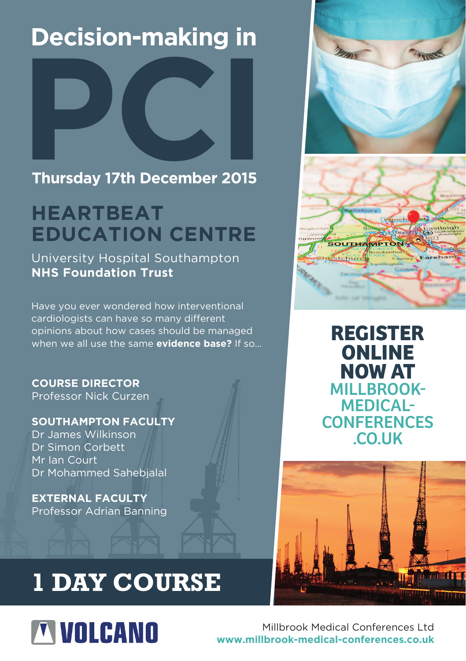## **Decision-making in**



### **Thursday 17th December 2015**

### **HEARTBEAT EDUCATION CENTRE**

University Hospital Southampton **NHS Foundation Trust**

Have you ever wondered how interventional cardiologists can have so many different opinions about how cases should be managed when we all use the same **evidence base?** If so…

**COURSE DIRECTOR** Professor Nick Curzen

### **SOUTHAMPTON FACULTY**

Dr James Wilkinson Dr Simon Corbett Mr Ian Court Dr Mohammed Sahebjalal

**EXTERNAL FACULTY** Professor Adrian Banning





**[REGISTER](http://www.millbrook-medical-conferences.co.uk/Conferences/December-2015/Decision-making-in-PCI.aspx)  ONLINE NOW AT** MILLBROOK-MEDICAL-**CONFERENCES** .CO.UK



## **1 DAY COURSE**

# **TVOLCANO**

Millbrook Medical Conferences Ltd **www.millbrook-medical-conferences.co.uk**